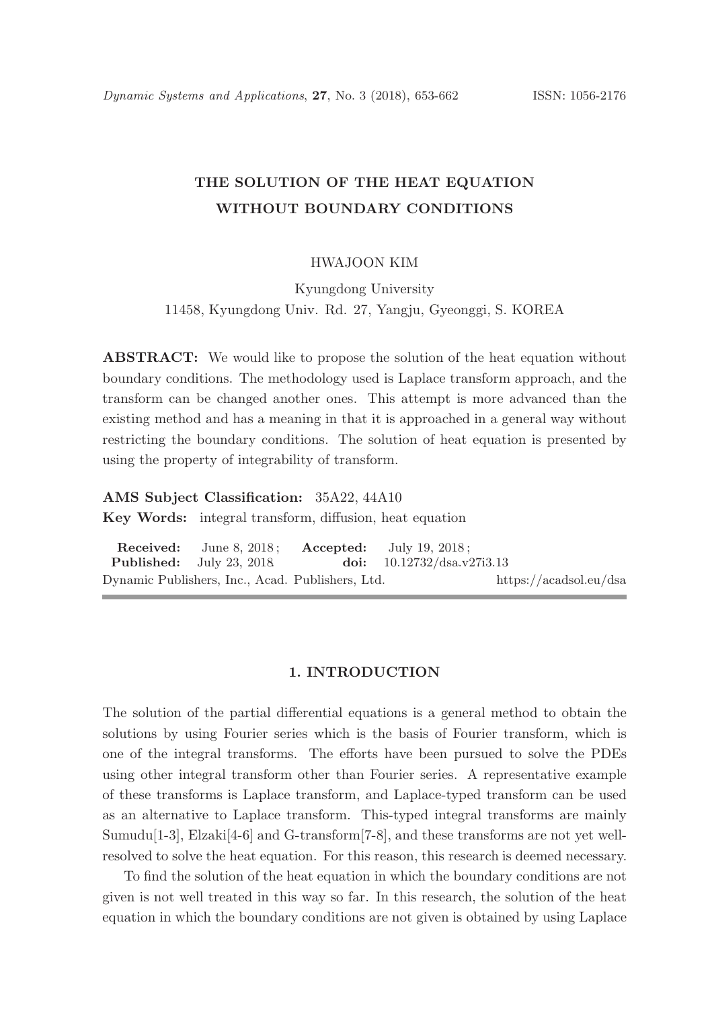# THE SOLUTION OF THE HEAT EQUATION WITHOUT BOUNDARY CONDITIONS

#### HWAJOON KIM

Kyungdong University 11458, Kyungdong Univ. Rd. 27, Yangju, Gyeonggi, S. KOREA

ABSTRACT: We would like to propose the solution of the heat equation without boundary conditions. The methodology used is Laplace transform approach, and the transform can be changed another ones. This attempt is more advanced than the existing method and has a meaning in that it is approached in a general way without restricting the boundary conditions. The solution of heat equation is presented by using the property of integrability of transform.

#### AMS Subject Classification: 35A22, 44A10

Key Words: integral transform, diffusion, heat equation

| <b>Received:</b> June 8, 2018: <b>Accepted:</b> July 19, 2018: |                                     |                        |
|----------------------------------------------------------------|-------------------------------------|------------------------|
| <b>Published:</b> July 23, 2018                                | <b>doi:</b> $10.12732/dsa.v27i3.13$ |                        |
| Dynamic Publishers, Inc., Acad. Publishers, Ltd.               |                                     | https://acadsol.eu/dsa |

### 1. INTRODUCTION

The solution of the partial differential equations is a general method to obtain the solutions by using Fourier series which is the basis of Fourier transform, which is one of the integral transforms. The efforts have been pursued to solve the PDEs using other integral transform other than Fourier series. A representative example of these transforms is Laplace transform, and Laplace-typed transform can be used as an alternative to Laplace transform. This-typed integral transforms are mainly Sumudu[1-3], Elzaki[4-6] and G-transform[7-8], and these transforms are not yet wellresolved to solve the heat equation. For this reason, this research is deemed necessary.

To find the solution of the heat equation in which the boundary conditions are not given is not well treated in this way so far. In this research, the solution of the heat equation in which the boundary conditions are not given is obtained by using Laplace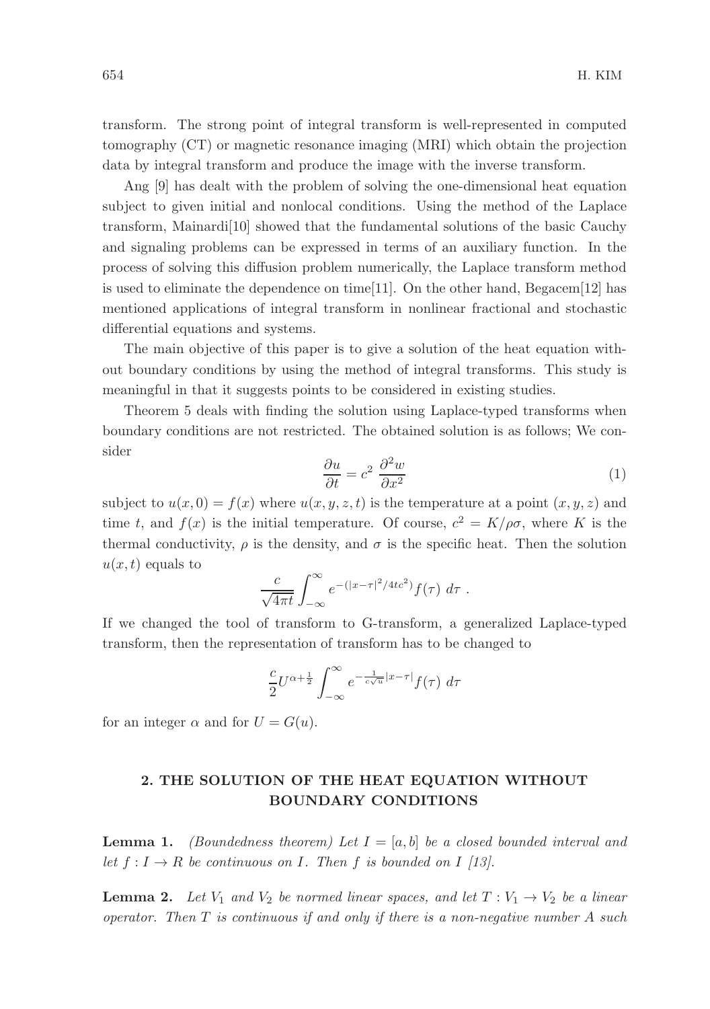transform. The strong point of integral transform is well-represented in computed tomography (CT) or magnetic resonance imaging (MRI) which obtain the projection data by integral transform and produce the image with the inverse transform.

Ang [9] has dealt with the problem of solving the one-dimensional heat equation subject to given initial and nonlocal conditions. Using the method of the Laplace transform, Mainardi[10] showed that the fundamental solutions of the basic Cauchy and signaling problems can be expressed in terms of an auxiliary function. In the process of solving this diffusion problem numerically, the Laplace transform method is used to eliminate the dependence on time[11]. On the other hand, Begacem[12] has mentioned applications of integral transform in nonlinear fractional and stochastic differential equations and systems.

The main objective of this paper is to give a solution of the heat equation without boundary conditions by using the method of integral transforms. This study is meaningful in that it suggests points to be considered in existing studies.

Theorem 5 deals with finding the solution using Laplace-typed transforms when boundary conditions are not restricted. The obtained solution is as follows; We consider

$$
\frac{\partial u}{\partial t} = c^2 \frac{\partial^2 w}{\partial x^2} \tag{1}
$$

subject to  $u(x, 0) = f(x)$  where  $u(x, y, z, t)$  is the temperature at a point  $(x, y, z)$  and time t, and  $f(x)$  is the initial temperature. Of course,  $c^2 = K/\rho\sigma$ , where K is the thermal conductivity,  $\rho$  is the density, and  $\sigma$  is the specific heat. Then the solution  $u(x, t)$  equals to

$$
\frac{c}{\sqrt{4\pi t}}\int_{-\infty}^{\infty}e^{-(|x-\tau|^2/4tc^2)}f(\tau) d\tau.
$$

If we changed the tool of transform to G-transform, a generalized Laplace-typed transform, then the representation of transform has to be changed to

$$
\frac{c}{2}U^{\alpha+\frac{1}{2}}\int_{-\infty}^{\infty}e^{-\frac{1}{c\sqrt{u}}|x-\tau|}f(\tau) d\tau
$$

for an integer  $\alpha$  and for  $U = G(u)$ .

## 2. THE SOLUTION OF THE HEAT EQUATION WITHOUT BOUNDARY CONDITIONS

**Lemma 1.** (Boundedness theorem) Let  $I = [a, b]$  be a closed bounded interval and let  $f: I \to R$  be continuous on I. Then f is bounded on I [13].

**Lemma 2.** Let  $V_1$  and  $V_2$  be normed linear spaces, and let  $T: V_1 \rightarrow V_2$  be a linear operator. Then  $T$  is continuous if and only if there is a non-negative number  $A$  such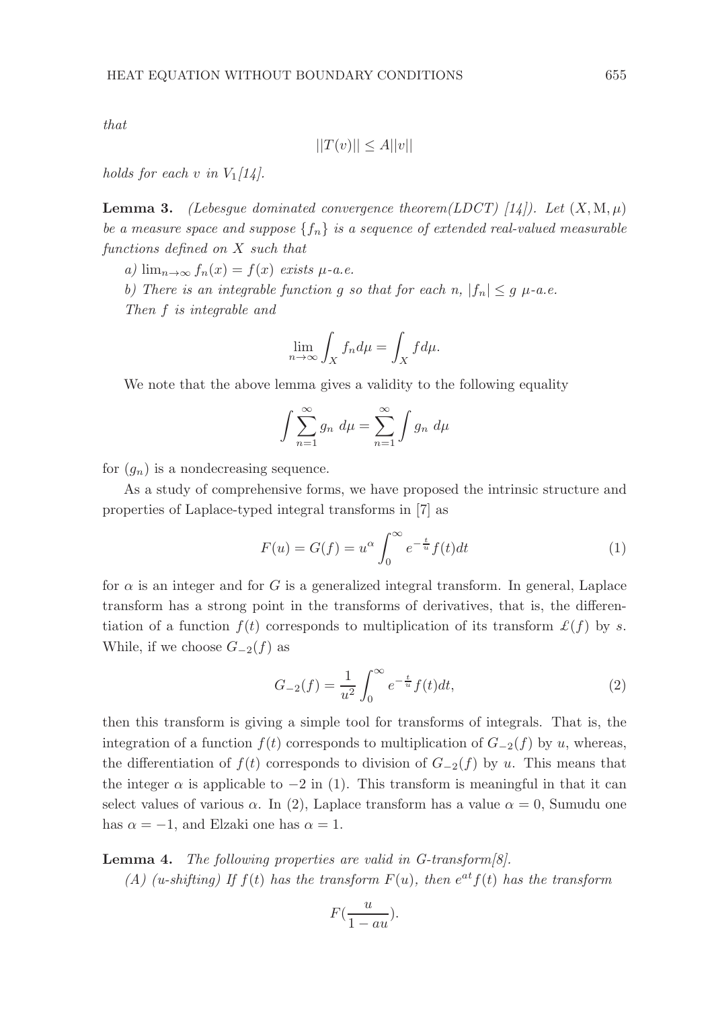that

$$
||T(v)|| \le A||v||
$$

holds for each v in  $V_1/14$ .

**Lemma 3.** (Lebesque dominated convergence theorem(LDCT) [14]). Let  $(X, M, \mu)$ be a measure space and suppose  $\{f_n\}$  is a sequence of extended real-valued measurable functions defined on X such that

a)  $\lim_{n\to\infty} f_n(x) = f(x)$  exists  $\mu$ -a.e.

b) There is an integrable function g so that for each n,  $|f_n| \leq g$   $\mu$ -a.e.

Then f is integrable and

$$
\lim_{n \to \infty} \int_X f_n d\mu = \int_X f d\mu.
$$

We note that the above lemma gives a validity to the following equality

$$
\int \sum_{n=1}^{\infty} g_n \ d\mu = \sum_{n=1}^{\infty} \int g_n \ d\mu
$$

for  $(g_n)$  is a nondecreasing sequence.

As a study of comprehensive forms, we have proposed the intrinsic structure and properties of Laplace-typed integral transforms in [7] as

$$
F(u) = G(f) = u^{\alpha} \int_0^{\infty} e^{-\frac{t}{u}} f(t) dt
$$
 (1)

for  $\alpha$  is an integer and for G is a generalized integral transform. In general, Laplace transform has a strong point in the transforms of derivatives, that is, the differentiation of a function  $f(t)$  corresponds to multiplication of its transform  $\mathcal{L}(f)$  by s. While, if we choose  $G_{-2}(f)$  as

$$
G_{-2}(f) = \frac{1}{u^2} \int_0^\infty e^{-\frac{t}{u}} f(t) dt,
$$
\n(2)

then this transform is giving a simple tool for transforms of integrals. That is, the integration of a function  $f(t)$  corresponds to multiplication of  $G_{-2}(f)$  by u, whereas, the differentiation of  $f(t)$  corresponds to division of  $G_{-2}(f)$  by u. This means that the integer  $\alpha$  is applicable to  $-2$  in (1). This transform is meaningful in that it can select values of various  $\alpha$ . In (2), Laplace transform has a value  $\alpha = 0$ , Sumudu one has  $\alpha = -1$ , and Elzaki one has  $\alpha = 1$ .

Lemma 4. The following properties are valid in G-transform[8].

(A) (u-shifting) If  $f(t)$  has the transform  $F(u)$ , then  $e^{at}f(t)$  has the transform

$$
F(\frac{u}{1-au}).
$$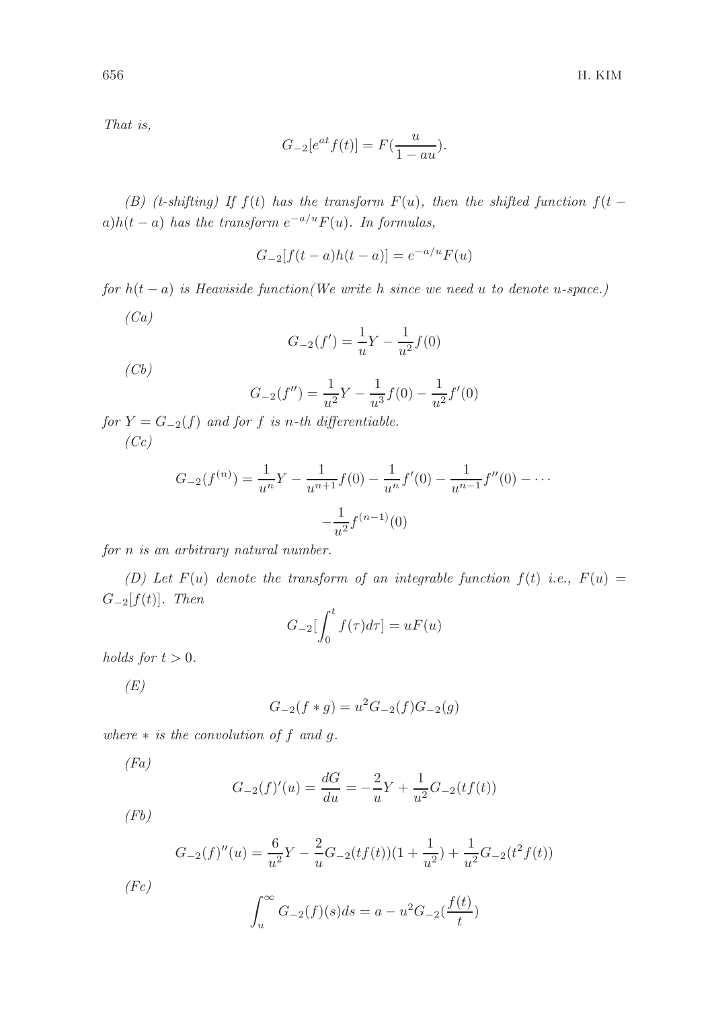That is,

$$
G_{-2}[e^{at}f(t)] = F(\frac{u}{1-au}).
$$

(B) (t-shifting) If f(t) has the transform  $F(u)$ , then the shifted function  $f(t$  $a)h(t-a)$  has the transform  $e^{-a/u}F(u)$ . In formulas,

$$
G_{-2}[f(t-a)h(t-a)] = e^{-a/u}F(u)
$$

for  $h(t-a)$  is Heaviside function(We write h since we need u to denote u-space.)  $(Ca)$ 

$$
G_{-2}(f') = \frac{1}{u}Y - \frac{1}{u^2}f(0)
$$

 $(Cb)$ 

$$
G_{-2}(f'') = \frac{1}{u^2}Y - \frac{1}{u^3}f(0) - \frac{1}{u^2}f'(0)
$$

for  $Y = G_{-2}(f)$  and for f is n-th differentiable.  $(Cc)$ 

$$
G_{-2}(f^{(n)}) = \frac{1}{u^n}Y - \frac{1}{u^{n+1}}f(0) - \frac{1}{u^n}f'(0) - \frac{1}{u^{n-1}}f''(0) - \cdots - \frac{1}{u^2}f^{(n-1)}(0)
$$

for n is an arbitrary natural number.

(D) Let  $F(u)$  denote the transform of an integrable function  $f(t)$  i.e.,  $F(u) =$  $G_{-2}[f(t)]$ . Then

$$
G_{-2}\left[\int_0^t f(\tau)d\tau\right] = uF(u)
$$

holds for  $t > 0$ .

 $(E)$ 

$$
G_{-2}(f * g) = u^2 G_{-2}(f) G_{-2}(g)
$$

where  $*$  is the convolution of f and g.

 $(Fa)$ 

$$
G_{-2}(f)'(u) = \frac{dG}{du} = -\frac{2}{u}Y + \frac{1}{u^2}G_{-2}(tf(t))
$$

 $(Fb)$ 

$$
G_{-2}(f)''(u) = \frac{6}{u^2}Y - \frac{2}{u}G_{-2}(tf(t))(1 + \frac{1}{u^2}) + \frac{1}{u^2}G_{-2}(t^2f(t))
$$

 $(Fc)$ 

$$
\int_{u}^{\infty} G_{-2}(f)(s)ds = a - u^2 G_{-2}(\frac{f(t)}{t})
$$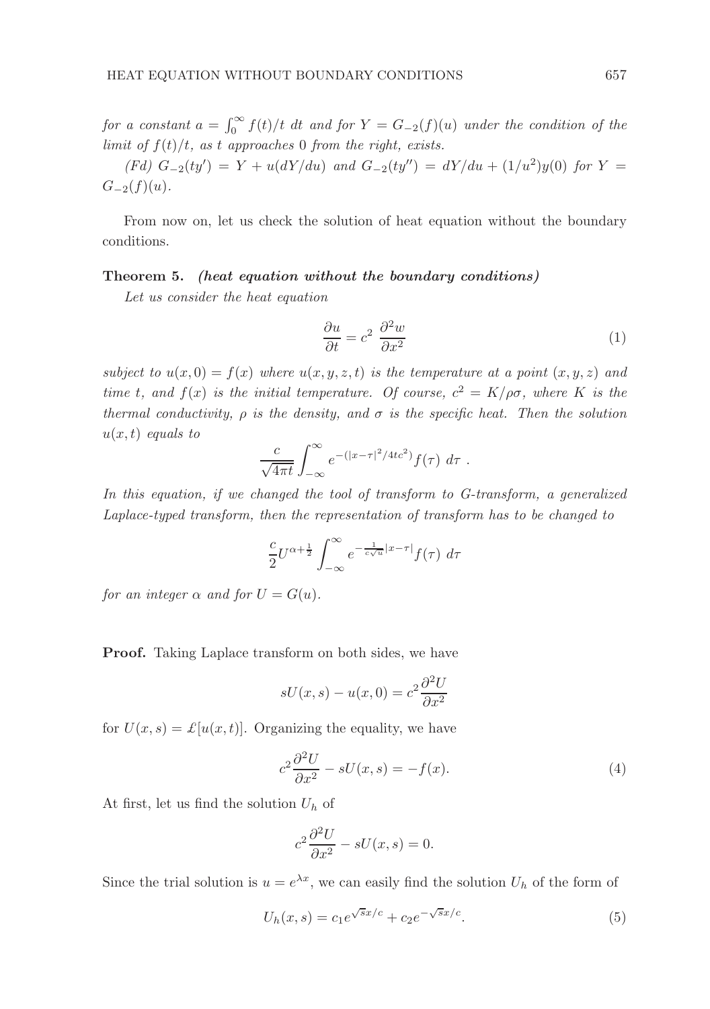for a constant  $a = \int_0^\infty f(t)/t$  dt and for  $Y = G_{-2}(f)(u)$  under the condition of the limit of  $f(t)/t$ , as t approaches 0 from the right, exists.

(Fd) 
$$
G_{-2}(ty') = Y + u(dY/du)
$$
 and  $G_{-2}(ty'') = dY/du + (1/u^2)y(0)$  for  $Y = G_{-2}(f)(u)$ .

From now on, let us check the solution of heat equation without the boundary conditions.

### Theorem 5. (heat equation without the boundary conditions)

Let us consider the heat equation

$$
\frac{\partial u}{\partial t} = c^2 \frac{\partial^2 w}{\partial x^2} \tag{1}
$$

subject to  $u(x, 0) = f(x)$  where  $u(x, y, z, t)$  is the temperature at a point  $(x, y, z)$  and time t, and  $f(x)$  is the initial temperature. Of course,  $c^2 = K/\rho\sigma$ , where K is the thermal conductivity,  $\rho$  is the density, and  $\sigma$  is the specific heat. Then the solution  $u(x, t)$  equals to

$$
\frac{c}{\sqrt{4\pi t}}\int_{-\infty}^{\infty}e^{-(|x-\tau|^2/4tc^2)}f(\tau) d\tau.
$$

In this equation, if we changed the tool of transform to G-transform, a generalized Laplace-typed transform, then the representation of transform has to be changed to

$$
\frac{c}{2}U^{\alpha+\frac{1}{2}}\int_{-\infty}^{\infty}e^{-\frac{1}{c\sqrt{u}}|x-\tau|}f(\tau)\,d\tau
$$

for an integer  $\alpha$  and for  $U = G(u)$ .

Proof. Taking Laplace transform on both sides, we have

$$
sU(x, s) - u(x, 0) = c^2 \frac{\partial^2 U}{\partial x^2}
$$

for  $U(x, s) = \mathcal{L}[u(x, t)]$ . Organizing the equality, we have

$$
c^2 \frac{\partial^2 U}{\partial x^2} - sU(x, s) = -f(x). \tag{4}
$$

At first, let us find the solution  $U_h$  of

$$
c^2 \frac{\partial^2 U}{\partial x^2} - sU(x, s) = 0.
$$

Since the trial solution is  $u = e^{\lambda x}$ , we can easily find the solution  $U_h$  of the form of

$$
U_h(x,s) = c_1 e^{\sqrt{s}x/c} + c_2 e^{-\sqrt{s}x/c}.
$$
 (5)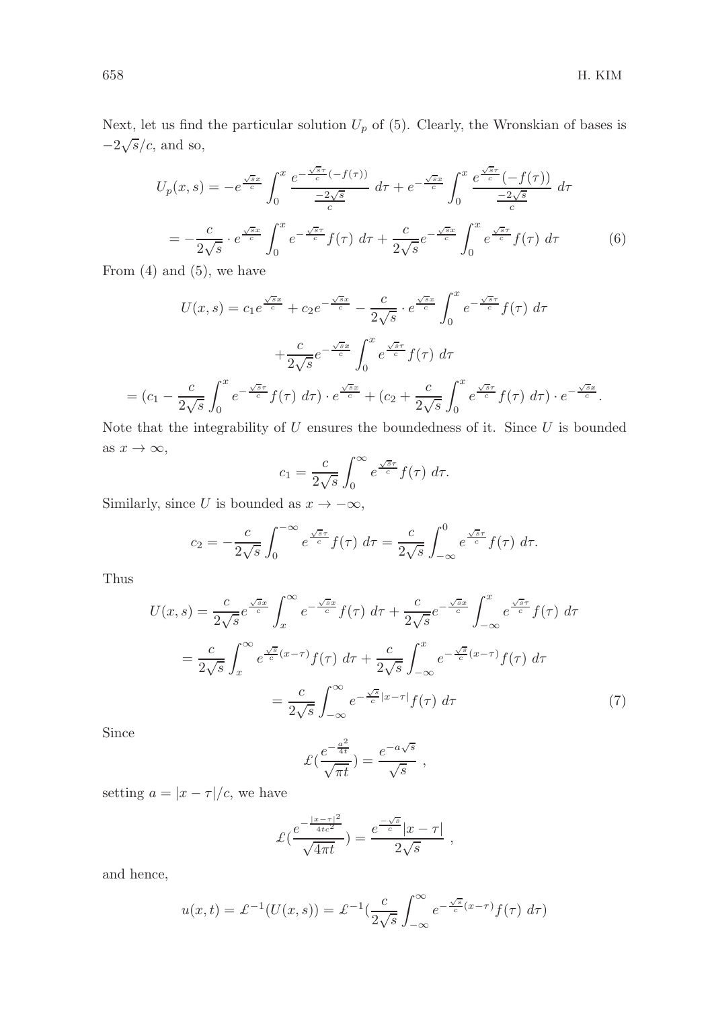Next, let us find the particular solution  $U_p$  of (5). Clearly, the Wronskian of bases is  $-2\sqrt{s}/c$ , and so,

$$
U_p(x,s) = -e^{\frac{\sqrt{s}x}{c}} \int_0^x \frac{e^{-\frac{\sqrt{s}\tau}{c}}(-f(\tau))}{\frac{-2\sqrt{s}}{c}} d\tau + e^{-\frac{\sqrt{s}x}{c}} \int_0^x \frac{e^{\frac{\sqrt{s}\tau}{c}}(-f(\tau))}{\frac{-2\sqrt{s}}{c}} d\tau
$$

$$
= -\frac{c}{2\sqrt{s}} \cdot e^{\frac{\sqrt{s}x}{c}} \int_0^x e^{-\frac{\sqrt{s}\tau}{c}} f(\tau) d\tau + \frac{c}{2\sqrt{s}} e^{-\frac{\sqrt{s}x}{c}} \int_0^x e^{\frac{\sqrt{s}\tau}{c}} f(\tau) d\tau \qquad (6)
$$

From  $(4)$  and  $(5)$ , we have

$$
U(x,s) = c_1 e^{\frac{\sqrt{s}x}{c}} + c_2 e^{-\frac{\sqrt{s}x}{c}} - \frac{c}{2\sqrt{s}} \cdot e^{\frac{\sqrt{s}x}{c}} \int_0^x e^{-\frac{\sqrt{s}\tau}{c}} f(\tau) d\tau
$$

$$
+ \frac{c}{2\sqrt{s}} e^{-\frac{\sqrt{s}x}{c}} \int_0^x e^{\frac{\sqrt{s}\tau}{c}} f(\tau) d\tau
$$

$$
= (c_1 - \frac{c}{2\sqrt{s}} \int_0^x e^{-\frac{\sqrt{s}\tau}{c}} f(\tau) d\tau) \cdot e^{\frac{\sqrt{s}x}{c}} + (c_2 + \frac{c}{2\sqrt{s}} \int_0^x e^{\frac{\sqrt{s}\tau}{c}} f(\tau) d\tau) \cdot e^{-\frac{\sqrt{s}x}{c}}.
$$

Note that the integrability of  $U$  ensures the boundedness of it. Since  $U$  is bounded as  $x \to \infty$ ,

$$
c_1 = \frac{c}{2\sqrt{s}} \int_0^\infty e^{\frac{\sqrt{s}\tau}{c}} f(\tau) d\tau.
$$

Similarly, since U is bounded as  $x \to -\infty$ ,

$$
c_2 = -\frac{c}{2\sqrt{s}} \int_0^{-\infty} e^{\frac{\sqrt{s}\tau}{c}} f(\tau) d\tau = \frac{c}{2\sqrt{s}} \int_{-\infty}^0 e^{\frac{\sqrt{s}\tau}{c}} f(\tau) d\tau.
$$

Thus

$$
U(x,s) = \frac{c}{2\sqrt{s}} e^{\frac{\sqrt{s}x}{c}} \int_x^{\infty} e^{-\frac{\sqrt{s}x}{c}} f(\tau) d\tau + \frac{c}{2\sqrt{s}} e^{-\frac{\sqrt{s}x}{c}} \int_{-\infty}^x e^{\frac{\sqrt{s}\tau}{c}} f(\tau) d\tau
$$

$$
= \frac{c}{2\sqrt{s}} \int_x^{\infty} e^{\frac{\sqrt{s}}{c} (x-\tau)} f(\tau) d\tau + \frac{c}{2\sqrt{s}} \int_{-\infty}^x e^{-\frac{\sqrt{s}}{c} (x-\tau)} f(\tau) d\tau
$$

$$
= \frac{c}{2\sqrt{s}} \int_{-\infty}^{\infty} e^{-\frac{\sqrt{s}}{c} |x-\tau|} f(\tau) d\tau \tag{7}
$$

Since

$$
\mathcal{L}\left(\frac{e^{-\frac{a^2}{4t}}}{\sqrt{\pi t}}\right) = \frac{e^{-a\sqrt{s}}}{\sqrt{s}} ,
$$

setting  $a = |x - \tau|/c$ , we have

$$
\mathcal{L}\left(\frac{e^{-\frac{|x-\tau|^2}{4tc^2}}}{\sqrt{4\pi t}}\right) = \frac{e^{\frac{-\sqrt{s}}{c}}|x-\tau|}{2\sqrt{s}},
$$

and hence,

$$
u(x,t) = \mathcal{L}^{-1}(U(x,s)) = \mathcal{L}^{-1}(\frac{c}{2\sqrt{s}} \int_{-\infty}^{\infty} e^{-\frac{\sqrt{s}}{c}(x-\tau)} f(\tau) d\tau)
$$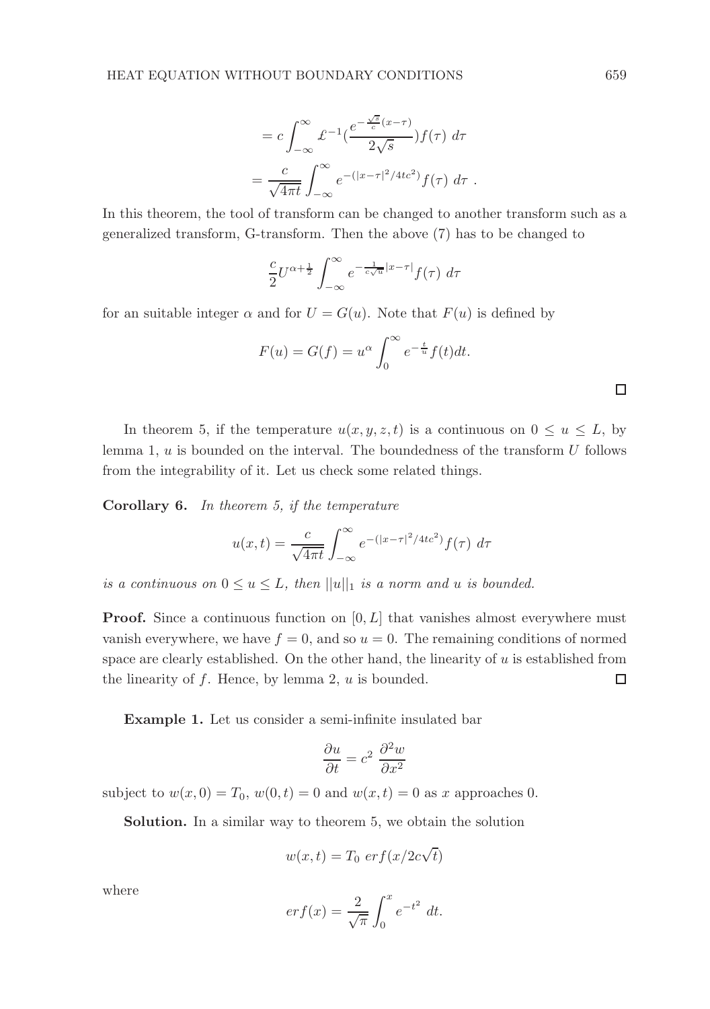$$
= c \int_{-\infty}^{\infty} \mathcal{L}^{-1} \left( \frac{e^{-\frac{\sqrt{s}}{c}(x-\tau)}}{2\sqrt{s}} \right) f(\tau) d\tau
$$

$$
= \frac{c}{\sqrt{4\pi t}} \int_{-\infty}^{\infty} e^{-\left(|x-\tau|^2/4tc^2\right)} f(\tau) d\tau.
$$

In this theorem, the tool of transform can be changed to another transform such as a generalized transform, G-transform. Then the above (7) has to be changed to

$$
\frac{c}{2}U^{\alpha+\frac{1}{2}}\int_{-\infty}^{\infty}e^{-\frac{1}{c\sqrt{u}}|x-\tau|}f(\tau)\,d\tau
$$

for an suitable integer  $\alpha$  and for  $U = G(u)$ . Note that  $F(u)$  is defined by

$$
F(u) = G(f) = u^{\alpha} \int_0^{\infty} e^{-\frac{t}{u}} f(t) dt.
$$

In theorem 5, if the temperature  $u(x, y, z, t)$  is a continuous on  $0 \le u \le L$ , by lemma 1,  $u$  is bounded on the interval. The boundedness of the transform  $U$  follows from the integrability of it. Let us check some related things.

Corollary 6. In theorem 5, if the temperature

$$
u(x,t) = \frac{c}{\sqrt{4\pi t}} \int_{-\infty}^{\infty} e^{-(|x-\tau|^2/4tc^2)} f(\tau) d\tau
$$

is a continuous on  $0 \le u \le L$ , then  $||u||_1$  is a norm and u is bounded.

**Proof.** Since a continuous function on  $[0, L]$  that vanishes almost everywhere must vanish everywhere, we have  $f = 0$ , and so  $u = 0$ . The remaining conditions of normed space are clearly established. On the other hand, the linearity of  $u$  is established from the linearity of  $f$ . Hence, by lemma 2,  $u$  is bounded. □

Example 1. Let us consider a semi-infinite insulated bar

$$
\frac{\partial u}{\partial t} = c^2 \frac{\partial^2 w}{\partial x^2}
$$

subject to  $w(x, 0) = T_0$ ,  $w(0, t) = 0$  and  $w(x, t) = 0$  as x approaches 0.

Solution. In a similar way to theorem 5, we obtain the solution

$$
w(x,t) = T_0 \, erf(x/2c\sqrt{t})
$$

where

$$
erf(x) = \frac{2}{\sqrt{\pi}} \int_0^x e^{-t^2} dt.
$$

 $\Box$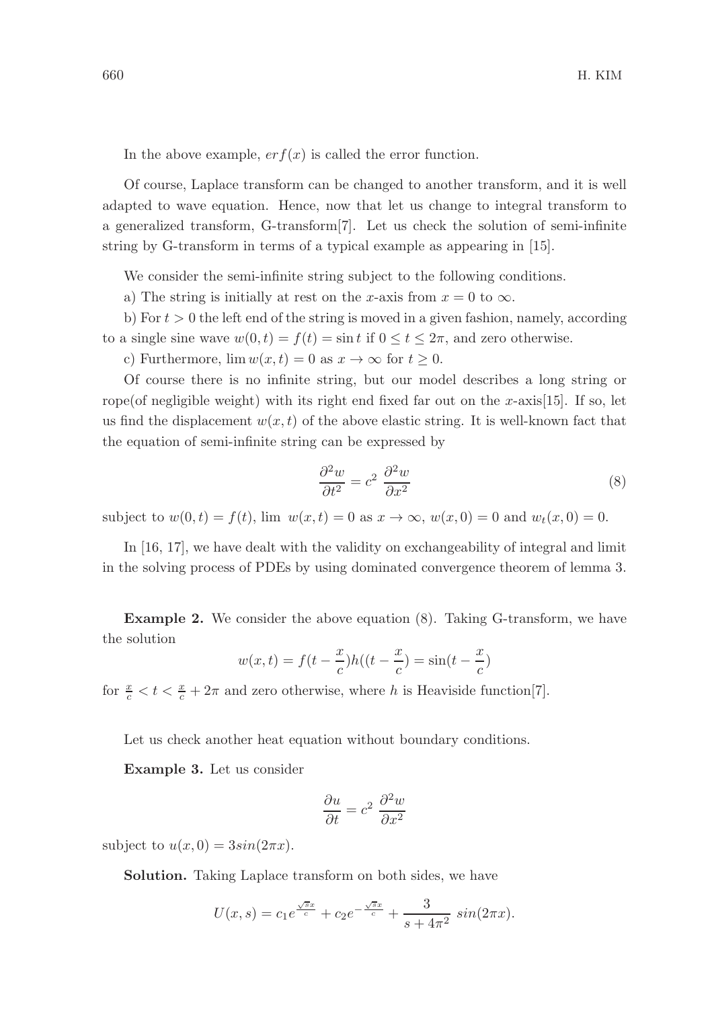In the above example,  $er f(x)$  is called the error function.

Of course, Laplace transform can be changed to another transform, and it is well adapted to wave equation. Hence, now that let us change to integral transform to a generalized transform, G-transform[7]. Let us check the solution of semi-infinite string by G-transform in terms of a typical example as appearing in [15].

We consider the semi-infinite string subject to the following conditions.

a) The string is initially at rest on the x-axis from  $x = 0$  to  $\infty$ .

b) For  $t > 0$  the left end of the string is moved in a given fashion, namely, according to a single sine wave  $w(0, t) = f(t) = \sin t$  if  $0 \le t \le 2\pi$ , and zero otherwise.

c) Furthermore,  $\lim w(x, t) = 0$  as  $x \to \infty$  for  $t \geq 0$ .

Of course there is no infinite string, but our model describes a long string or rope(of negligible weight) with its right end fixed far out on the x-axis[15]. If so, let us find the displacement  $w(x, t)$  of the above elastic string. It is well-known fact that the equation of semi-infinite string can be expressed by

$$
\frac{\partial^2 w}{\partial t^2} = c^2 \frac{\partial^2 w}{\partial x^2} \tag{8}
$$

subject to  $w(0, t) = f(t)$ , lim  $w(x, t) = 0$  as  $x \to \infty$ ,  $w(x, 0) = 0$  and  $w_t(x, 0) = 0$ .

In [16, 17], we have dealt with the validity on exchangeability of integral and limit in the solving process of PDEs by using dominated convergence theorem of lemma 3.

Example 2. We consider the above equation (8). Taking G-transform, we have the solution

$$
w(x,t) = f(t - \frac{x}{c})h((t - \frac{x}{c}) = \sin(t - \frac{x}{c})
$$

for  $\frac{x}{c} < t < \frac{x}{c} + 2\pi$  and zero otherwise, where h is Heaviside function[7].

Let us check another heat equation without boundary conditions.

Example 3. Let us consider

$$
\frac{\partial u}{\partial t} = c^2 \frac{\partial^2 w}{\partial x^2}
$$

subject to  $u(x, 0) = 3sin(2\pi x)$ .

Solution. Taking Laplace transform on both sides, we have

$$
U(x,s) = c_1 e^{\frac{\sqrt{sx}}{c}} + c_2 e^{-\frac{\sqrt{sx}}{c}} + \frac{3}{s + 4\pi^2} \sin(2\pi x).
$$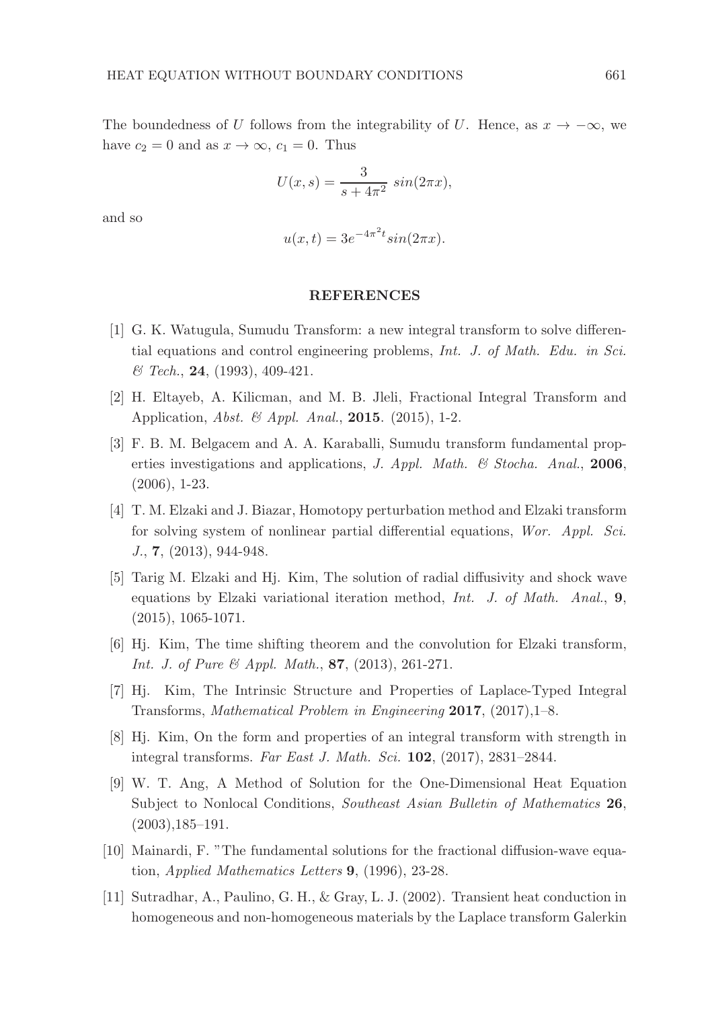The boundedness of U follows from the integrability of U. Hence, as  $x \to -\infty$ , we have  $c_2 = 0$  and as  $x \to \infty$ ,  $c_1 = 0$ . Thus

$$
U(x,s) = \frac{3}{s+4\pi^2} \sin(2\pi x),
$$

and so

$$
u(x,t) = 3e^{-4\pi^2 t} \sin(2\pi x).
$$

### REFERENCES

- [1] G. K. Watugula, Sumudu Transform: a new integral transform to solve differential equations and control engineering problems, Int. J. of Math. Edu. in Sci. & Tech., 24, (1993), 409-421.
- [2] H. Eltayeb, A. Kilicman, and M. B. Jleli, Fractional Integral Transform and Application, *Abst. & Appl. Anal.*, **2015**. (2015), 1-2.
- [3] F. B. M. Belgacem and A. A. Karaballi, Sumudu transform fundamental properties investigations and applications, J. Appl. Math. & Stocha. Anal., 2006, (2006), 1-23.
- [4] T. M. Elzaki and J. Biazar, Homotopy perturbation method and Elzaki transform for solving system of nonlinear partial differential equations, Wor. Appl. Sci. J., 7, (2013), 944-948.
- [5] Tarig M. Elzaki and Hj. Kim, The solution of radial diffusivity and shock wave equations by Elzaki variational iteration method, Int. J. of Math. Anal., 9,  $(2015), 1065-1071.$
- [6] Hj. Kim, The time shifting theorem and the convolution for Elzaki transform, Int. J. of Pure & Appl. Math., 87,  $(2013)$ , 261-271.
- [7] Hj. Kim, The Intrinsic Structure and Properties of Laplace-Typed Integral Transforms, Mathematical Problem in Engineering 2017, (2017),1–8.
- [8] Hj. Kim, On the form and properties of an integral transform with strength in integral transforms. Far East J. Math. Sci. 102, (2017), 2831–2844.
- [9] W. T. Ang, A Method of Solution for the One-Dimensional Heat Equation Subject to Nonlocal Conditions, Southeast Asian Bulletin of Mathematics 26, (2003),185–191.
- [10] Mainardi, F. "The fundamental solutions for the fractional diffusion-wave equation, Applied Mathematics Letters 9, (1996), 23-28.
- [11] Sutradhar, A., Paulino, G. H., & Gray, L. J. (2002). Transient heat conduction in homogeneous and non-homogeneous materials by the Laplace transform Galerkin